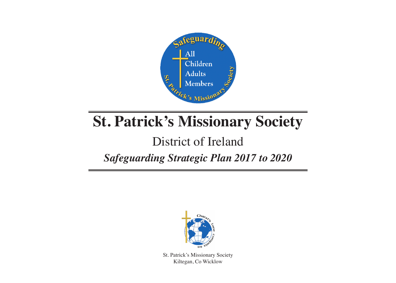

# **St. Patrick's Missionary Society**

## District of Ireland

### *Safeguarding Strategic Plan 2017 to 2020*



St. Patrick's Missionary Society Kiltegan, Co Wicklow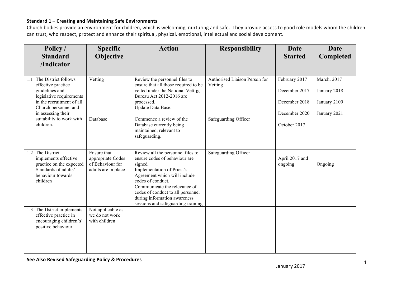| Policy /<br><b>Standard</b><br>/Indicator                                                                                                                                                                           | <b>Specific</b><br>Objective                                                | <b>Action</b>                                                                                                                                                                                                                                                                                                | <b>Responsibility</b>                    | Date<br><b>Started</b>                                           | Date<br><b>Completed</b>                                    |
|---------------------------------------------------------------------------------------------------------------------------------------------------------------------------------------------------------------------|-----------------------------------------------------------------------------|--------------------------------------------------------------------------------------------------------------------------------------------------------------------------------------------------------------------------------------------------------------------------------------------------------------|------------------------------------------|------------------------------------------------------------------|-------------------------------------------------------------|
| The District follows<br>1.1<br>effective practice<br>guidelines and<br>legislative requirements<br>in the recruitment of all<br>Church personnel and<br>in assessing their<br>suitability to work with<br>children. | Vetting                                                                     | Review the personnel files to<br>ensure that all those required to be<br>vetted under the National Vettijg<br>Bureau Act 2012-2016 are<br>processed.<br>Update Data Base.                                                                                                                                    | Authorised Liaison Person for<br>Vetting | February 2017<br>December 2017<br>December 2018<br>December 2020 | March, 2017<br>January 2018<br>January 2109<br>January 2021 |
|                                                                                                                                                                                                                     | Database                                                                    | Commence a review of the<br>Database currently being<br>maintained, relevant to<br>safeguarding.                                                                                                                                                                                                             | Safeguarding Officer                     | October 2017                                                     |                                                             |
| 1.2 The District<br>implements effective<br>practice on the expected<br>Standards of adults'<br>behaviour towards<br>children                                                                                       | Ensure that<br>appropriate Codes<br>of Behaviour for<br>adults are in place | Review all the personnel files to<br>ensure codes of behaviour are<br>signed.<br>Implementation of Priest's<br>Agreement which will include<br>codes of conduct.<br>Commiunicate the relevance of<br>codes of conduct to all personnel<br>during information awareness<br>sessions and safeguarding training | Safeguarding Officer                     | April 2017 and<br>ongoing                                        | Ongoing                                                     |
| 1.3 The Dstrict implements<br>effective practice in<br>encouraging children's'<br>positive behaviour                                                                                                                | Not applicable as<br>we do not work<br>with children                        |                                                                                                                                                                                                                                                                                                              |                                          |                                                                  |                                                             |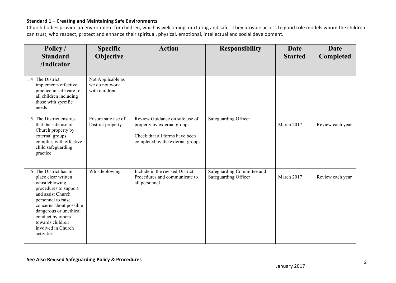| Policy /<br><b>Standard</b><br>/Indicator                                                                                                                                                                                                                               | <b>Specific</b><br>Objective                         | <b>Action</b>                                                                                                                        | <b>Responsibility</b>                              | Date<br><b>Started</b> | Date<br>Completed |
|-------------------------------------------------------------------------------------------------------------------------------------------------------------------------------------------------------------------------------------------------------------------------|------------------------------------------------------|--------------------------------------------------------------------------------------------------------------------------------------|----------------------------------------------------|------------------------|-------------------|
| 1.4 The District<br>implements effective<br>practice in safe care for<br>all children including<br>those with specific<br>needs                                                                                                                                         | Not Applicable as<br>we do not work<br>with children |                                                                                                                                      |                                                    |                        |                   |
| 1.5 The District ensures<br>that the safe use of<br>Church property by<br>external groups<br>complies with effective<br>child safeguarding<br>practice                                                                                                                  | Ensure safe use of<br>District property              | Review Guidance on safe use of<br>property by external groups.<br>Check that all forms have been<br>completed by the external groups | Safeguarding Officer                               | March 2017             | Review each year  |
| 1.6 The District has in<br>place clear written<br>whistleblowing<br>procedures to support<br>and assist Church<br>personnel to raise<br>concerns about possible<br>dangerous or unethical<br>conduct by others<br>towards children<br>involved in Church<br>activities. | Whistleblowing                                       | Include in the revised District<br>Procedures and communicate to<br>all personnel                                                    | Safeguarding Committee and<br>Safeguarding Officer | March 2017             | Review each year  |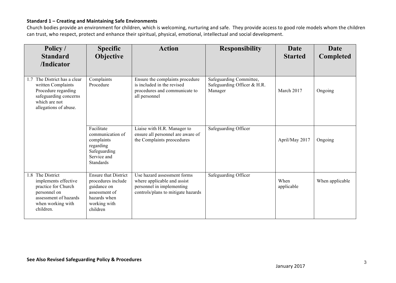| Policy /<br><b>Standard</b><br>/Indicator                                                                                                      | <b>Specific</b><br>Objective                                                                                                  | <b>Action</b>                                                                                                                 | <b>Responsibility</b>                                             | <b>Date</b><br><b>Started</b> | Date<br><b>Completed</b> |
|------------------------------------------------------------------------------------------------------------------------------------------------|-------------------------------------------------------------------------------------------------------------------------------|-------------------------------------------------------------------------------------------------------------------------------|-------------------------------------------------------------------|-------------------------------|--------------------------|
| The District has a clear<br>17<br>written Complaints<br>Procedure regarding<br>safeguarding concerns<br>which are not<br>allegations of abuse. | Complaints<br>Procedure                                                                                                       | Ensure the complaints procedure<br>is included in the revised<br>procedures and communicate to<br>all personnel               | Safeguarding Committee,<br>Safeguarding Officer & H.R.<br>Manager | March 2017                    | Ongoing                  |
|                                                                                                                                                | Facilitate<br>communication of<br>complaints<br>regarding<br>Safeguarding<br>Service and<br><b>Standards</b>                  | Liaise with H.R. Manager to<br>ensure all personnel are aware of<br>the Complaints preocedures                                | Safeguarding Officer                                              | April/May 2017                | Ongoing                  |
| 1.8 The District<br>implements effective<br>practice for Church<br>personnel on<br>assessment of hazards<br>when working with<br>children.     | <b>Ensure that District</b><br>procedures include<br>guidance on<br>assessment of<br>hazards when<br>working with<br>children | Use hazard assessment forms<br>where applicable and assist<br>personnel in implementing<br>controls/plans to mitigate hazards | Safeguarding Officer                                              | When<br>applicable            | When applicable          |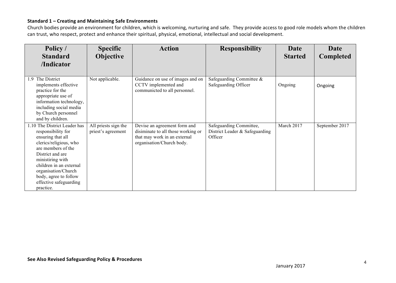| Policy /<br><b>Standard</b>                                                                                                                                                                                                                                                       | <b>Specific</b><br><b>Objective</b>        | <b>Action</b>                                                                                                                   | <b>Responsibility</b>                                                | Date<br><b>Started</b> | Date<br>Completed |
|-----------------------------------------------------------------------------------------------------------------------------------------------------------------------------------------------------------------------------------------------------------------------------------|--------------------------------------------|---------------------------------------------------------------------------------------------------------------------------------|----------------------------------------------------------------------|------------------------|-------------------|
| /Indicator                                                                                                                                                                                                                                                                        |                                            |                                                                                                                                 |                                                                      |                        |                   |
| The District<br>1.9<br>implements effective<br>practice for the<br>appropriate use of<br>information technology,<br>including social media<br>by Church personnel<br>and by children.                                                                                             | Not applicable.                            | Guidance on use of images and on<br>CCTV implemented and<br>communicted to all personnel.                                       | Safeguarding Committee &<br>Safeguarding Officer                     | Ongoing                | Ongoing           |
| 1.10 The District Leader has<br>responsibility for<br>ensuring that all<br>clerics/religious, who<br>are members of the<br>District and are<br>ministiring with<br>children in an external<br>organisation/Church<br>body, agree to follow<br>effective safeguarding<br>practice. | All priests sign the<br>priest's agreement | Devise an agreement form and<br>disiminate to all those working or<br>that may work in an external<br>organisation/Church body. | Safeguarding Committee,<br>District Leader & Safeguarding<br>Officer | March 2017             | September 2017    |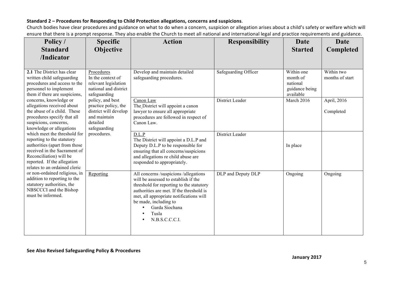#### Standard 2 - Procedures for Responding to Child Protection allegations, concerns and suspicions.

Church bodies have clear procedures and guidance on what to do when a concern, suspicion or allegation arises about a child's safety or welfare which will ensure that there is a prompt response. They also enable the Church to meet all national and international legal and practice requirements and guidance.

| Policy /<br><b>Standard</b>                                                                                                                                                                                                                                                                                                                                                                                                                                                                                                                              | <b>Specific</b><br><b>Objective</b>                                                                           | <b>Action</b>                                                                                                                                                                                                                                                                          | <b>Responsibility</b> | <b>Date</b><br><b>Started</b>                                     | <b>Date</b><br><b>Completed</b> |
|----------------------------------------------------------------------------------------------------------------------------------------------------------------------------------------------------------------------------------------------------------------------------------------------------------------------------------------------------------------------------------------------------------------------------------------------------------------------------------------------------------------------------------------------------------|---------------------------------------------------------------------------------------------------------------|----------------------------------------------------------------------------------------------------------------------------------------------------------------------------------------------------------------------------------------------------------------------------------------|-----------------------|-------------------------------------------------------------------|---------------------------------|
| /Indicator                                                                                                                                                                                                                                                                                                                                                                                                                                                                                                                                               |                                                                                                               |                                                                                                                                                                                                                                                                                        |                       |                                                                   |                                 |
| 2.1 The District has clear<br>written child safeguarding<br>procedures and access to the<br>personnel to implement<br>them if there are suspicions,<br>concerns, knowledge or<br>allegations received about<br>the abuse of a child. These<br>procedures specify that all<br>suspicions, concerns,<br>knowledge or allegations<br>which meet the threshold for<br>reporting to the statutory<br>authorities (apart from those<br>received in the Sacrament of<br>Reconciliation) will be<br>reported. If the allegation<br>relates to an ordained cleric | Procedures<br>In the context of<br>relevant legislation<br>national and district<br>safeguarding              | Develop and maintain detailed<br>safeguarding procedures.                                                                                                                                                                                                                              | Safeguarding Officer  | Within one<br>month of<br>national<br>guidance being<br>available | Within two<br>months of start   |
|                                                                                                                                                                                                                                                                                                                                                                                                                                                                                                                                                          | policy, and best<br>practice policy, the<br>district will develop<br>and maintain<br>detailed<br>safeguarding | Canon Law<br>The District will appoint a canon<br>lawyer to ensure all appropriate<br>procedures are followed in respect of<br>Canon Law.                                                                                                                                              | District Leader       | March 2016                                                        | April, 2016<br>Completed        |
|                                                                                                                                                                                                                                                                                                                                                                                                                                                                                                                                                          | procedures.                                                                                                   | D.L.P<br>The District will appoint a D.L.P and<br>Deputy D.L.P to be responsible for<br>ensuring that all concerns/suspicions<br>and allegations re child abuse are<br>responded to appropriately.                                                                                     | District Leader       | In place                                                          |                                 |
| or non-ordained religious, in<br>addition to reporting to the<br>statutory authorities, the<br>NBSCCCI and the Bishop<br>must be informed.                                                                                                                                                                                                                                                                                                                                                                                                               | Reporting                                                                                                     | All concerns /suspicions /allegations<br>will be assessed to establish if the<br>threshold for reporting to the statutory<br>authorities are met. If the threshold is<br>met, all appropriate notifications will<br>be made, including to<br>Garda Siochana<br>Tusla<br>N.B.S.C.C.C.I. | DLP and Deputy DLP    | Ongoing                                                           | Ongoing                         |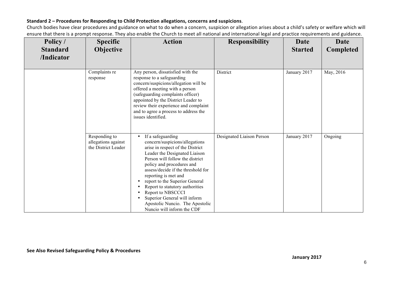#### Standard 2 - Procedures for Responding to Child Protection allegations, concerns and suspicions.

Church bodies have clear procedures and guidance on what to do when a concern, suspicion or allegation arises about a child's safety or welfare which will ensure that there is a prompt response. They also enable the Church to meet all national and international legal and practice requirements and guidance.

| Policy /<br><b>Standard</b><br>/Indicator | <b>Specific</b><br>Objective                                | <b>Action</b>                                                                                                                                                                                                                                                                                                                                                                                                                                                       | <b>Responsibility</b>     | <b>Date</b><br><b>Started</b> | <b>Date</b><br><b>Completed</b> |
|-------------------------------------------|-------------------------------------------------------------|---------------------------------------------------------------------------------------------------------------------------------------------------------------------------------------------------------------------------------------------------------------------------------------------------------------------------------------------------------------------------------------------------------------------------------------------------------------------|---------------------------|-------------------------------|---------------------------------|
|                                           | Complaints re<br>response                                   | Any person, dissatisfied with the<br>response to a safeguarding<br>concern/suspicions/allegation will be<br>offered a meeting with a person<br>(safeguarding complaints officer)<br>appointed by the District Leader to<br>review their experience and complaint<br>and to agree a process to address the<br>issues identified.                                                                                                                                     | District                  | January 2017                  | May, 2016                       |
|                                           | Responding to<br>allegations against<br>the District Leader | If a safeguarding<br>$\bullet$<br>concern/suspicions/allegations<br>arise in respect of the District<br>Leader the Designated Liaison<br>Person will follow the district<br>policy and procedures and<br>assess/decide if the threshold for<br>reporting is met and<br>report to the Superior General<br>٠<br>Report to statutory authorities<br>Report to NBSCCCI<br>Superior General will inform<br>Apostolic Nuncio. The Apostolic<br>Nuncio will inform the CDF | Designated Liaison Person | January 2017                  | Ongoing                         |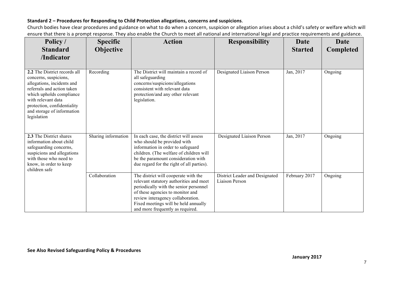#### Standard 2 - Procedures for Responding to Child Protection allegations, concerns and suspicions.

Church bodies have clear procedures and guidance on what to do when a concern, suspicion or allegation arises about a child's safety or welfare which will ensure that there is a prompt response. They also enable the Church to meet all national and international legal and practice requirements and guidance.

| Policy /<br><b>Standard</b><br>/Indicator                                                                                                                                                                                                       | <b>Specific</b><br><b>Objective</b> | <b>Action</b>                                                                                                                                                                                                                                                                  | <b>Responsibility</b>                            | <b>Date</b><br><b>Started</b> | Date<br><b>Completed</b> |
|-------------------------------------------------------------------------------------------------------------------------------------------------------------------------------------------------------------------------------------------------|-------------------------------------|--------------------------------------------------------------------------------------------------------------------------------------------------------------------------------------------------------------------------------------------------------------------------------|--------------------------------------------------|-------------------------------|--------------------------|
| 2.2 The District records all<br>concerns, suspicions,<br>allegations, incidents and<br>referrals and action taken<br>which upholds compliance<br>with relevant data<br>protection, confidentiality<br>and storage of information<br>legislation | Recording                           | The District will maintain a record of<br>all safeguarding<br>concerns/suspicions/allegations<br>consistent with relevant data<br>protection/and any other relevant<br>legislation.                                                                                            | Designated Liaison Person                        | Jan, 2017                     | Ongoing                  |
| 2.3 The District shares<br>information about child<br>safeguarding concerns,<br>suspicions and allegations<br>with those who need to<br>know, in order to keep<br>children safe                                                                 | Sharing information                 | In each case, the district will assess<br>who should be provided with<br>information in order to safeguard<br>children. (The welfare of children will<br>be the paramount consideration with<br>due regard for the right of all parties).                                      | Designated Liaison Person                        | Jan, 2017                     | Ongoing                  |
|                                                                                                                                                                                                                                                 | Collaboration                       | The district will cooperate with the<br>relevant statutory authorities and meet<br>periodically with the senior personnel<br>of these agencies to monitor and<br>review interagency collaboration.<br>Fixed meetings will be held annually<br>and more frequently as required. | District Leader and Designated<br>Liaison Person | February 2017                 | Ongoing                  |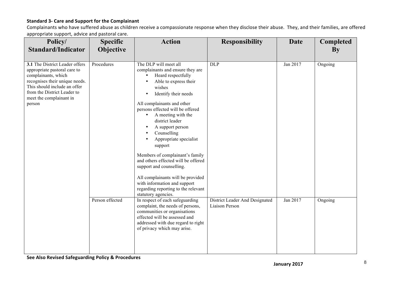#### **Standard 3- Care and Support for the Complainant**

Complainants who have suffered abuse as children receive a compassionate response when they disclose their abuse. They, and their families, are offered appropriate support, advice and pastoral care.

| Policy/<br><b>Standard/Indicator</b>                                                                                                                                                                                        | <b>Specific</b><br>Objective | <b>Action</b>                                                                                                                                                                                                                                                                                                                                                                                                                                                                                                                                                                                                 | <b>Responsibility</b>                            | Date     | <b>Completed</b><br><b>By</b> |
|-----------------------------------------------------------------------------------------------------------------------------------------------------------------------------------------------------------------------------|------------------------------|---------------------------------------------------------------------------------------------------------------------------------------------------------------------------------------------------------------------------------------------------------------------------------------------------------------------------------------------------------------------------------------------------------------------------------------------------------------------------------------------------------------------------------------------------------------------------------------------------------------|--------------------------------------------------|----------|-------------------------------|
| 3.1 The District Leader offers<br>appropriate pastoral care to<br>complainants, which<br>recognises their unique needs.<br>This should include an offer<br>from the District Leader to<br>meet the complainant in<br>person | Procedures                   | The DLP will meet all<br>complainants and ensure they are<br>Heard respectfully<br>Able to express their<br>$\bullet$<br>wishes<br>Identify their needs<br>$\bullet$<br>All complainants and other<br>persons effected will be offered<br>A meeting with the<br>district leader<br>A support person<br>$\bullet$<br>Counselling<br>Appropriate specialist<br>support<br>Members of complainant's family<br>and others effected will be offered<br>support and counselling.<br>All complainants will be provided<br>with information and support<br>regarding reporting to the relevant<br>statutory agencies. | <b>DLP</b>                                       | Jan 2017 | Ongoing                       |
|                                                                                                                                                                                                                             | Person effected              | In respect of each safeguarding<br>complaint, the needs of persons,<br>communities or organisations<br>effected will be assessed and<br>addressed with due regard to right<br>of privacy which may arise.                                                                                                                                                                                                                                                                                                                                                                                                     | District Leader And Designated<br>Liaison Person | Jan 2017 | Ongoing                       |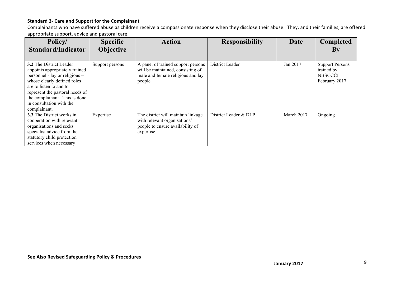#### **Standard 3- Care and Support for the Complainant**

Complainants who have suffered abuse as children receive a compassionate response when they disclose their abuse. They, and their families, are offered appropriate support, advice and pastoral care.

| Policy/                                                                                                                                                                                                                                                               | <b>Specific</b> | <b>Action</b>                                                                                                          | <b>Responsibility</b> | <b>Date</b> | <b>Completed</b>                                                        |
|-----------------------------------------------------------------------------------------------------------------------------------------------------------------------------------------------------------------------------------------------------------------------|-----------------|------------------------------------------------------------------------------------------------------------------------|-----------------------|-------------|-------------------------------------------------------------------------|
| <b>Standard/Indicator</b>                                                                                                                                                                                                                                             | Objective       |                                                                                                                        |                       |             | By                                                                      |
|                                                                                                                                                                                                                                                                       |                 |                                                                                                                        |                       |             |                                                                         |
| 3.2 The District Leader<br>appoints appropriately trained<br>personnel - lay or religious -<br>whose clearly defined roles<br>are to listen to and to<br>represent the pastoral needs of<br>the complainant. This is done<br>in consultation with the<br>complainant. | Support persons | A panel of trained support persons<br>will be maintained, consisting of<br>male and female religious and lay<br>people | District Leader       | Jan 2017    | <b>Support Persons</b><br>trained by<br><b>NBSCCCI</b><br>February 2017 |
| <b>3.3</b> The District works in<br>cooperation with relevant<br>organisations and seeks<br>specialist advice from the<br>statutory child protection<br>services when necessary                                                                                       | Expertise       | The district will maintain linkage<br>with relevant organisations/<br>people to ensure availability of<br>expertise    | District Leader & DLP | March 2017  | Ongoing                                                                 |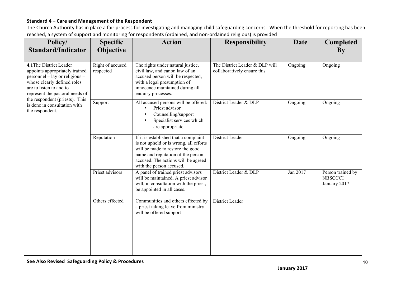| . .<br>Policy/<br><b>Standard/Indicator</b>                                                                                                                                                                                                                                   | <b>Specific</b><br><b>Objective</b> | <b>Action</b>                                                                                                                                                                                                               | <b>Responsibility</b>                                         | Date     | <b>Completed</b><br>$\mathbf{By}$                   |
|-------------------------------------------------------------------------------------------------------------------------------------------------------------------------------------------------------------------------------------------------------------------------------|-------------------------------------|-----------------------------------------------------------------------------------------------------------------------------------------------------------------------------------------------------------------------------|---------------------------------------------------------------|----------|-----------------------------------------------------|
| 4.1 The District Leader<br>appoints appropriately trained<br>personnel – lay or religious –<br>whose clearly defined roles<br>are to listen to and to<br>represent the pastoral needs of<br>the respondent (priests). This<br>is done in consultation with<br>the respondent. | Right of accused<br>respected       | The rights under natural justice,<br>civil law, and canon law of an<br>accused person will be respected,<br>with a legal presumption of<br>innocence maintained during all<br>enquiry processes.                            | The District Leader & DLP will<br>collaboratively ensure this | Ongoing  | Ongoing                                             |
|                                                                                                                                                                                                                                                                               | Support                             | All accused persons will be offered:<br>Priest advisor<br>Counselling/support<br>Specialist services which<br>are appropriate                                                                                               | District Leader & DLP                                         | Ongoing  | Ongoing                                             |
|                                                                                                                                                                                                                                                                               | Reputation                          | If it is established that a complaint<br>is not upheld or is wrong, all efforts<br>will be made to restore the good<br>name and reputation of the person<br>accused. The actions will be agreed<br>with the person accused. | District Leader                                               | Ongoing  | Ongoing                                             |
|                                                                                                                                                                                                                                                                               | Priest advisors                     | A panel of trained priest advisors<br>will be maintained. A priest advisor<br>will, in consultation with the priest,<br>be appointed in all cases.                                                                          | District Leader & DLP                                         | Jan 2017 | Person trained by<br><b>NBSCCCI</b><br>January 2017 |
|                                                                                                                                                                                                                                                                               | Others effected                     | Communities and others effected by<br>a priest taking leave from ministry<br>will be offered support                                                                                                                        | District Leader                                               |          |                                                     |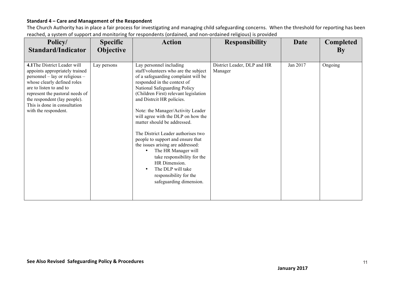| Policy/<br><b>Standard/Indicator</b>                                                                                                                                                                                                                                                  | <b>Specific</b><br>Objective | <b>Action</b>                                                                                                                                                                                                                                                                                                                                                                                                                                                                                                                                                                                                          | <b>Responsibility</b>                  | <b>Date</b> | <b>Completed</b><br>By |
|---------------------------------------------------------------------------------------------------------------------------------------------------------------------------------------------------------------------------------------------------------------------------------------|------------------------------|------------------------------------------------------------------------------------------------------------------------------------------------------------------------------------------------------------------------------------------------------------------------------------------------------------------------------------------------------------------------------------------------------------------------------------------------------------------------------------------------------------------------------------------------------------------------------------------------------------------------|----------------------------------------|-------------|------------------------|
| 4.1 The District Leader will<br>appoints appropriately trained<br>personnel – lay or religious –<br>whose clearly defined roles<br>are to listen to and to<br>represent the pastoral needs of<br>the respondent (lay people).<br>This is done in consultation<br>with the respondent. | Lay persons                  | Lay personnel including<br>staff/volunteers who are the subject<br>of a safeguarding complaint will be<br>responded in the context of<br>National Safeguarding Policy<br>(Children First) relevant legislation<br>and Distrcit HR policies.<br>Note: the Manager/Activity Leader<br>will agree with the DLP on how the<br>matter should be addressed.<br>The District Leader authorises two<br>people to support and ensure that<br>the issues arising are addressed:<br>The HR Manager will<br>take responsibility for the<br>HR Dimension.<br>The DLP will take<br>responsibility for the<br>safeguarding dimension. | District Leader, DLP and HR<br>Manager | Jan 2017    | Ongoing                |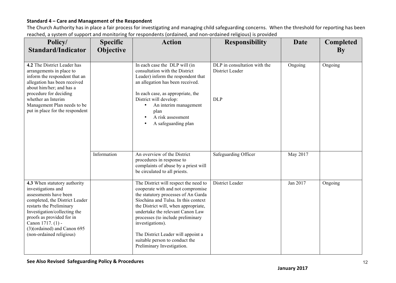| . .<br>Policy/<br><b>Standard/Indicator</b>                                                                                                                                                                                                                                            | <b>Specific</b><br>Objective | <b>Action</b>                                                                                                                                                                                                                                                                                                                                                                                       | <b>Responsibility</b>                                         | <b>Date</b> | <b>Completed</b><br>By |
|----------------------------------------------------------------------------------------------------------------------------------------------------------------------------------------------------------------------------------------------------------------------------------------|------------------------------|-----------------------------------------------------------------------------------------------------------------------------------------------------------------------------------------------------------------------------------------------------------------------------------------------------------------------------------------------------------------------------------------------------|---------------------------------------------------------------|-------------|------------------------|
| 4.2 The District Leader has<br>arrangements in place to<br>inform the respondent that an<br>allegation has been received<br>about him/her; and has a<br>procedure for deciding<br>whether an Interim<br>Management Plan needs to be<br>put in place for the respondent                 |                              | In each case the DLP will (in<br>consultation with the District<br>Leader) inform the respondent that<br>an allegation has been received.<br>In each case, as appropriate, the<br>District will develop:<br>An interim management<br>plan<br>A risk assessment<br>A safeguarding plan                                                                                                               | DLP in consultation with the<br>District Leader<br><b>DLP</b> | Ongoing     | Ongoing                |
|                                                                                                                                                                                                                                                                                        | Information                  | An overview of the District<br>procedures in response to<br>complaints of abuse by a priest will<br>be circulated to all priests.                                                                                                                                                                                                                                                                   | Safeguarding Officer                                          | May 2017    |                        |
| 4.3 When statutory authority<br>investigations and<br>assessments have been<br>completed, the District Leader<br>restarts the Preliminary<br>Investigation/collecting the<br>proofs as provided for in<br>Canon 1717. (1) -<br>(3)(ordained) and Canon 695<br>(non-ordained religious) |                              | The District will respect the need to<br>cooperate with and not compromise<br>the statutory processes of An Garda<br>Síochána and Tulsa. In this context<br>the District will, when appropriate,<br>undertake the relevant Canon Law<br>processes (to include preliminary<br>investigations).<br>The District Leader will appoint a<br>suitable person to conduct the<br>Preliminary Investigation. | District Leader                                               | Jan 2017    | Ongoing                |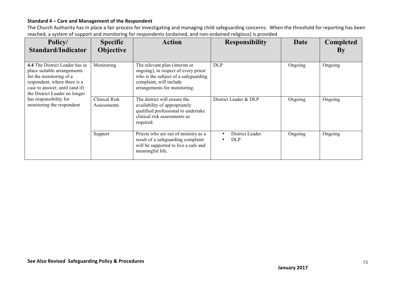| Policy/<br><b>Standard/Indicator</b>                                                                                                                                                        | <b>Specific</b><br><b>Objective</b> | <b>Action</b>                                                                                                                                                            | <b>Responsibility</b>         | <b>Date</b> | <b>Completed</b><br>By |
|---------------------------------------------------------------------------------------------------------------------------------------------------------------------------------------------|-------------------------------------|--------------------------------------------------------------------------------------------------------------------------------------------------------------------------|-------------------------------|-------------|------------------------|
| 4.4 The District Leader has in<br>place suitable arrangements<br>for the monitoring of a<br>respondent, where there is a<br>case to answer, until (and if)<br>the District Leader no longer | Monitoring                          | The relevant plan (interim or<br>ongoing), in respect of every priest<br>who is the subject of a safeguarding<br>complaint, will include<br>arrangements for monitoring. | <b>DLP</b>                    | Ongoing     | Ongoing                |
| has responsibility for<br>monitoring the respondent                                                                                                                                         | <b>Clinical Risk</b><br>Assessments | The district will ensure the<br>availability of appropriately<br>qualified professional to undertake<br>clinical risk assessments as<br>required.                        | District Leader & DLP         | Ongoing     | Ongoing                |
|                                                                                                                                                                                             | Support                             | Priests who are out of ministry as a<br>result of a safeguarding complaint<br>will be supported to live a safe and<br>meaningful life.                                   | District Leader<br><b>DLP</b> | Ongoing     | Ongoing                |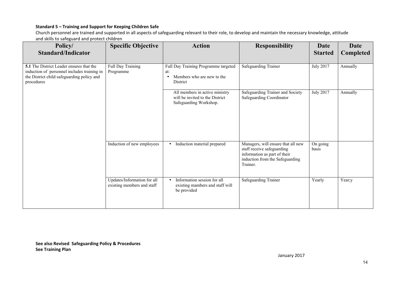Church personnel are trained and supported in all aspects of safeguarding relevant to their role, to develop and maintain the necessary knowledge, attitude and skills to safeguard and protect children

| Policy/                                                                                                                                             | <b>Specific Objective</b>                                 | <b>Action</b>                                                                                      | <b>Responsibility</b>                                                                                                                           | <b>Date</b>       | <b>Date</b> |
|-----------------------------------------------------------------------------------------------------------------------------------------------------|-----------------------------------------------------------|----------------------------------------------------------------------------------------------------|-------------------------------------------------------------------------------------------------------------------------------------------------|-------------------|-------------|
| <b>Standard/Indicator</b>                                                                                                                           |                                                           |                                                                                                    |                                                                                                                                                 | <b>Started</b>    | Completed   |
| 5.1 The District Leader ensures that the<br>induction of personnel includes training in<br>the District child safeguarding policy and<br>procedures | Full Day Training<br>Programme                            | Full Day Training Programme targeted<br>at:<br>Members who are new to the<br>$\bullet$<br>District | Safeguarding Trainer                                                                                                                            | <b>July 2017</b>  | Annually    |
|                                                                                                                                                     |                                                           | All members in active ministry<br>will be invited to the District<br>Safeguarding Workshop.        | Safeguarding Trainer and Society<br>Safeguarding Coordinator                                                                                    | <b>July 2017</b>  | Annually    |
|                                                                                                                                                     | Induction of new employees                                | Induction material prepared<br>٠                                                                   | Managers, will ensure that all new<br>staff receive safeguarding<br>information as part of their<br>induction from the Safeguarding<br>Trainer. | On going<br>basis |             |
|                                                                                                                                                     | Updates/Information for all<br>existing members and staff | Information session for all<br>$\bullet$<br>existing mambers and staff will<br>be provided         | <b>Safeguarding Trainer</b>                                                                                                                     | Yearly            | Year;y      |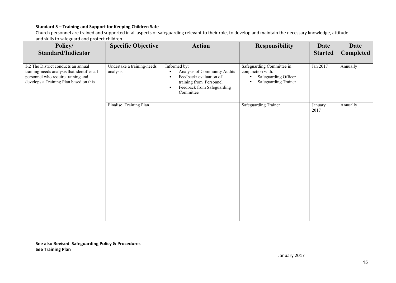Church personnel are trained and supported in all aspects of safeguarding relevant to their role, to develop and maintain the necessary knowledge, attitude and skills to safeguard and protect children

| Policy/<br><b>Standard/Indicator</b>                                                                                                                               | <b>Specific Objective</b>              | <b>Action</b>                                                                                                                                                                       | <b>Responsibility</b>                                                                                       | <b>Date</b><br><b>Started</b> | <b>Date</b><br>Completed |
|--------------------------------------------------------------------------------------------------------------------------------------------------------------------|----------------------------------------|-------------------------------------------------------------------------------------------------------------------------------------------------------------------------------------|-------------------------------------------------------------------------------------------------------------|-------------------------------|--------------------------|
| 5.2 The District conducts an annual<br>training-needs analysis that identifies all<br>personnel who require training and<br>develops a Training Plan based on this | Undertake a training-needs<br>analysis | Informed by:<br>Analysis of Community Audits<br>$\bullet$<br>Feedback/evaluation of<br>$\bullet$<br>training from Personnel<br>Feedback from Safeguarding<br>$\bullet$<br>Committee | Safeguarding Committee in<br>conjunction with:<br>Safeguarding Officer<br>Safeguarding Trainer<br>$\bullet$ | Jan 2017                      | Annually                 |
|                                                                                                                                                                    | Finalise Training Plan                 |                                                                                                                                                                                     | <b>Safeguarding Trainer</b>                                                                                 | January<br>2017               | Annually                 |

**See also Revised Safeguarding Policy & Procedures See Training Plan**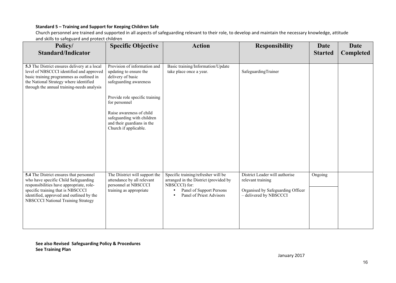Church personnel are trained and supported in all aspects of safeguarding relevant to their role, to develop and maintain the necessary knowledge, attitude and skills to safeguard and protect children

| Policy/<br><b>Standard/Indicator</b>                                                                                                                                                                                                               | <b>Specific Objective</b>                                                                                       | <b>Action</b>                                                                                                                                                      | <b>Responsibility</b>                                                                                              | Date<br><b>Started</b> | <b>Date</b><br>Completed |
|----------------------------------------------------------------------------------------------------------------------------------------------------------------------------------------------------------------------------------------------------|-----------------------------------------------------------------------------------------------------------------|--------------------------------------------------------------------------------------------------------------------------------------------------------------------|--------------------------------------------------------------------------------------------------------------------|------------------------|--------------------------|
| 5.3 The District ensures delivery at a local<br>level of NBSCCCI identified and approved<br>basic training programmes as outlined in<br>the National Strategy where identified<br>through the annual training-needs analysis                       | Provision of information and<br>updating to ensure the<br>delivery of basic<br>safeguarding awareness           | Basic training/Information/Update<br>take place once a year.                                                                                                       | SafeguardingTrainer                                                                                                |                        |                          |
|                                                                                                                                                                                                                                                    | Provide role specific training<br>for personnel                                                                 |                                                                                                                                                                    |                                                                                                                    |                        |                          |
|                                                                                                                                                                                                                                                    | Raise awareness of child<br>safeguarding with children<br>and their guardians in the<br>Church if applicable.   |                                                                                                                                                                    |                                                                                                                    |                        |                          |
| 5.4 The District ensures that personnel<br>who have specific Child Safeguarding<br>responsibilities have appropriate, role-<br>specific training that is NBSCCCI<br>identified, approved and outlined by the<br>NBSCCCI National Training Strategy | The Diistrict will support the<br>attendance by all relevant<br>personnel at NBSCCCI<br>training as appropriate | Specific training/refresher will be<br>arranged in the District (provided by<br>NBSCCCI) for:<br>Panel of Support Persons<br>$\bullet$<br>Panel of Priest Advisors | District Leader will authorise<br>relevant training<br>Organised by Safeguarding Officer<br>- delivered by NBSCCCI | Ongoing                |                          |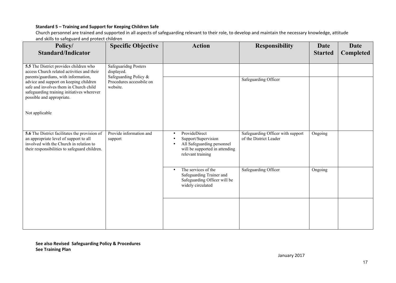Church personnel are trained and supported in all aspects of safeguarding relevant to their role, to develop and maintain the necessary knowledge, attitude and skills to safeguard and protect children

| Policy/<br><b>Standard/Indicator</b>                                                                                                                                                                                                                                                        | <b>Specific Objective</b>                                                                                  | <b>Action</b>                                                                                                                                       | <b>Responsibility</b>                                       | <b>Date</b><br><b>Started</b> | <b>Date</b><br><b>Completed</b> |
|---------------------------------------------------------------------------------------------------------------------------------------------------------------------------------------------------------------------------------------------------------------------------------------------|------------------------------------------------------------------------------------------------------------|-----------------------------------------------------------------------------------------------------------------------------------------------------|-------------------------------------------------------------|-------------------------------|---------------------------------|
| 5.5 The District provides children who<br>access Church related activities and their<br>parents/guardians, with information,<br>advice and support on keeping children<br>safe and involves them in Church child<br>safeguarding training initiatives wherever<br>possible and appropriate. | <b>Safeguaridng Posters</b><br>displayed.<br>Safeguarding Policy &<br>Procedures accessbile on<br>website. |                                                                                                                                                     | <b>Safeguarding Officer</b>                                 |                               |                                 |
| Not applicable                                                                                                                                                                                                                                                                              |                                                                                                            |                                                                                                                                                     |                                                             |                               |                                 |
| 5.6 The District facilitates the provision of<br>an appropriate level of support to all<br>involved with the Church in relation to<br>their responsibilities to safeguard children.                                                                                                         | Provide information and<br>support                                                                         | ProvideDirect<br>$\bullet$<br>Support/Supervision<br>All Safeguarding personnel<br>$\bullet$<br>will be supported in attending<br>relevant training | Safeguarding Officer with support<br>of the District Leader | Ongoing                       |                                 |
|                                                                                                                                                                                                                                                                                             |                                                                                                            | The services of the<br>$\bullet$<br>Safeguarding Trainer and<br>Safeguarding Officer will be<br>widely circulated                                   | Safeguarding Officer                                        | Ongoing                       |                                 |
|                                                                                                                                                                                                                                                                                             |                                                                                                            |                                                                                                                                                     |                                                             |                               |                                 |

**See also Revised Safeguarding Policy & Procedures See Training Plan**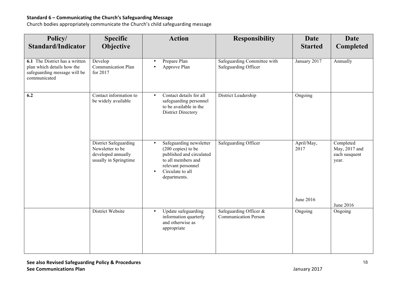#### **Standard 6 – Communicating the Church's Safeguarding Message**

Church bodies appropriately communicate the Church's child safeguarding message

| Policy/<br><b>Standard/Indicator</b>                                                                         | <b>Specific</b><br>Objective                                                                    | <b>Action</b>                                                                                                                                                                                 | <b>Responsibility</b>                                 | Date<br><b>Started</b>          | <b>Date</b><br>Completed                             |
|--------------------------------------------------------------------------------------------------------------|-------------------------------------------------------------------------------------------------|-----------------------------------------------------------------------------------------------------------------------------------------------------------------------------------------------|-------------------------------------------------------|---------------------------------|------------------------------------------------------|
| 6.1 The District has a written<br>plan which details how the<br>safeguarding message will be<br>communicated | Develop<br><b>Communication Plan</b><br>for 2017                                                | Prepare Plan<br>Approve Plan                                                                                                                                                                  | Safeguarding Committee with<br>Safeguarding Officer   | January 2017                    | Annually                                             |
| 6.2                                                                                                          | Contact information to<br>be widely available                                                   | Contact details for all<br>safeguarding personnel<br>to be available in the<br><b>District Directory</b>                                                                                      | District Leadership                                   | Ongoing                         |                                                      |
|                                                                                                              | <b>District Safeguarding</b><br>Newsletter to be<br>developed annually<br>usually in Springtime | Safeguarding newsletter<br>$\bullet$<br>$(200 \text{ copies})$ to be<br>published and circulated<br>to all members and<br>relevant personnel<br>Circulate to all<br>$\bullet$<br>departments. | Safeguarding Officer                                  | April/May,<br>2017<br>June 2016 | Completed<br>May, 2017 and<br>each susquent<br>year. |
|                                                                                                              | District Website                                                                                | Update safeguarding<br>$\bullet$<br>information quarterly<br>and otherwise as<br>appropriate                                                                                                  | Safeguarding Officer &<br><b>Communication Person</b> | Ongoing                         | June 2016<br>Ongoing                                 |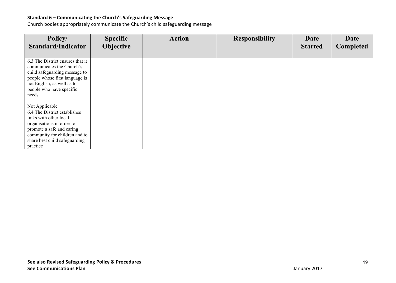#### Standard 6 – Communicating the Church's Safeguarding Message

Church bodies appropriately communicate the Church's child safeguarding message

| Policy/<br><b>Standard/Indicator</b>                       | <b>Specific</b><br>Objective | <b>Action</b> | <b>Responsibility</b> | <b>Date</b><br><b>Started</b> | <b>Date</b><br><b>Completed</b> |
|------------------------------------------------------------|------------------------------|---------------|-----------------------|-------------------------------|---------------------------------|
| 6.3 The District ensures that it                           |                              |               |                       |                               |                                 |
| communicates the Church's                                  |                              |               |                       |                               |                                 |
| child safeguarding message to                              |                              |               |                       |                               |                                 |
| people whose first language is                             |                              |               |                       |                               |                                 |
| not English, as well as to<br>people who have specific     |                              |               |                       |                               |                                 |
| needs.                                                     |                              |               |                       |                               |                                 |
|                                                            |                              |               |                       |                               |                                 |
| Not Applicable                                             |                              |               |                       |                               |                                 |
| 6.4 The District establishes                               |                              |               |                       |                               |                                 |
| links with other local                                     |                              |               |                       |                               |                                 |
| organisations in order to                                  |                              |               |                       |                               |                                 |
| promote a safe and caring<br>community for children and to |                              |               |                       |                               |                                 |
| share best child safeguarding                              |                              |               |                       |                               |                                 |
| practice                                                   |                              |               |                       |                               |                                 |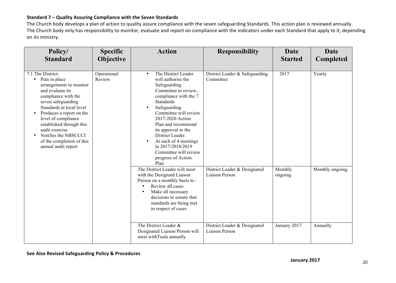#### **Standard 7 – Quality Assuring Compliance with the Seven Standards**

The Church body develops a plan of action to quality assure compliance with the seven safeguarding Standards. This action plan is reviewed annually. The Church body only has responsibility to monitor, evaluate and report on compliance with the indicators under each Standard that apply to it, depending on its ministry.

| Policy/<br><b>Standard</b>                                                                                                                                                                                                                                                                                                                                                     | <b>Specific</b><br>Objective | <b>Action</b>                                                                                                                                                                                                                                                                                                                                                                  | <b>Responsibility</b>                          | <b>Date</b><br><b>Started</b> | <b>Date</b><br>Completed |
|--------------------------------------------------------------------------------------------------------------------------------------------------------------------------------------------------------------------------------------------------------------------------------------------------------------------------------------------------------------------------------|------------------------------|--------------------------------------------------------------------------------------------------------------------------------------------------------------------------------------------------------------------------------------------------------------------------------------------------------------------------------------------------------------------------------|------------------------------------------------|-------------------------------|--------------------------|
| 7.1 The District:<br>Puts in place<br>$\bullet$<br>arrangements to monitor<br>and evaluate its<br>compliance with the<br>seven safeguarding<br>Standards at local level<br>Produces a report on the<br>$\bullet$<br>level of compliance<br>established through this<br>audit exercise<br>Notifies the NBSCCCI<br>$\bullet$<br>of the completion of this<br>annual audit report | Operational<br>Review        | The District Leader<br>$\bullet$<br>will authorise the<br>Safeguarding<br>Committee to review,<br>compliance with the 7<br><b>Standards</b><br>Safeguarding<br>Committee will review<br>2017-2020 Action<br>Plan and recommend<br>its approval to the<br>District Leader.<br>At each of 4 meetings<br>in 2017/2018/2019<br>Committee will review<br>progress of Action<br>Plan | District Leader & Safeguarding<br>Committee    | 2017                          | Yearly                   |
|                                                                                                                                                                                                                                                                                                                                                                                |                              | The District Leader will meet<br>with the Designatd Liaison<br>Person on a monthly basis to:<br>Review all cases<br>Make all necessary<br>decisions to ensure that<br>standards are being met<br>in respect of cases                                                                                                                                                           | District Leader & Designated<br>Liaison Person | Monthly<br>ongoing            | Monthly ongoing          |
|                                                                                                                                                                                                                                                                                                                                                                                |                              | The District Leader &<br>Designated Liaison Person will<br>meet withTusla annually                                                                                                                                                                                                                                                                                             | District Leader & Designated<br>Liaison Person | January 2017                  | Annually                 |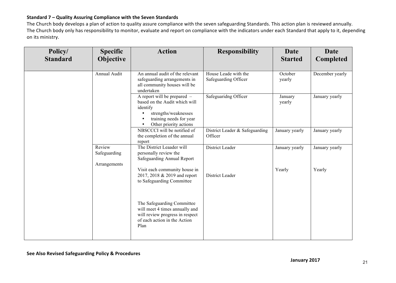#### **Standard 7 – Quality Assuring Compliance with the Seven Standards**

The Church body develops a plan of action to quality assure compliance with the seven safeguarding Standards. This action plan is reviewed annually. The Church body only has responsibility to monitor, evaluate and report on compliance with the indicators under each Standard that apply to it, depending on its ministry.

| Policy/<br><b>Standard</b> | <b>Specific</b><br>Objective           | <b>Action</b>                                                                                                                                           | <b>Responsibility</b>                        | <b>Date</b><br><b>Started</b> | <b>Date</b><br>Completed |
|----------------------------|----------------------------------------|---------------------------------------------------------------------------------------------------------------------------------------------------------|----------------------------------------------|-------------------------------|--------------------------|
|                            | Annual Audit                           | An annual audit of the relevant<br>safeguarding arrangements in<br>all community houses will be<br>undertaken                                           | House Leade with the<br>Safeguarding Officer | October<br>yearly             | December yearly          |
|                            |                                        | A report will be prepared $-$<br>based on the Audit which will<br>identify<br>strengths/weaknesses<br>training needs for year<br>Other priority actions | Safeguaridng Officer                         | January<br>yearly             | January yearly           |
|                            |                                        | NBSCCCI will be notified of<br>the completion of the annual<br>report                                                                                   | District Leader & Safeguarding<br>Officer    | January yearly                | January yearly           |
|                            | Review<br>Safeguarding<br>Arrangements | The District Leaader will<br>personally review the<br>Safeguarding Annual Report                                                                        | District Leader                              | January yearly                | January yearly           |
|                            |                                        | Visit each community house in<br>2017, 2018 & 2019 and report<br>to Safeguarding Committee                                                              | District Leader                              | Yearly                        | Yearly                   |
|                            |                                        | The Safeguarding Committee<br>will meet 4 times annually and<br>will review progress in respect<br>of each action in the Action<br>Plan                 |                                              |                               |                          |